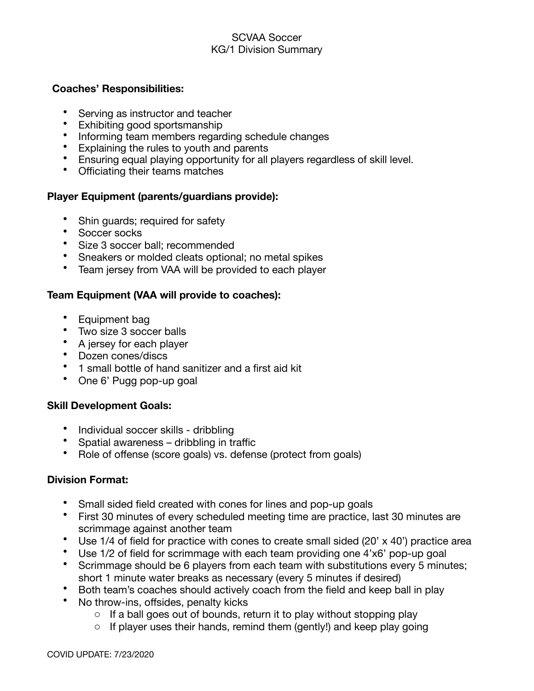### SCVAA Soccer KG/1 Division Summary

#### **Coaches' Responsibilities:**

- Serving as instructor and teacher<br>• Exhibiting good sportsmanship
- Exhibiting good sportsmanship
- Informing team members regarding schedule changes
- Explaining the rules to youth and parents
- Ensuring equal playing opportunity for all players regardless of skill level.
- Officiating their teams matches

# **Player Equipment (parents/guardians provide):**

- Shin guards; required for safety
- Soccer socks
- Size 3 soccer ball; recommended
- Sneakers or molded cleats optional; no metal spikes
- Team jersey from VAA will be provided to each player

# **Team Equipment (VAA will provide to coaches):**

- Equipment bag
- Two size 3 soccer balls
- A jersey for each player
- Dozen cones/discs
- 1 small bottle of hand sanitizer and a first aid kit
- One 6' Pugg pop-up goal

### **Skill Development Goals:**

- Individual soccer skills dribbling
- Spatial awareness dribbling in traffic
- Role of offense (score goals) vs. defense (protect from goals)

### **Division Format:**

- Small sided field created with cones for lines and pop-up goals
- First 30 minutes of every scheduled meeting time are practice, last 30 minutes are scrimmage against another team
- Use 1/4 of field for practice with cones to create small sided (20' x 40') practice area
- Use 1/2 of field for scrimmage with each team providing one 4'x6' pop-up goal
- Scrimmage should be 6 players from each team with substitutions every 5 minutes; short 1 minute water breaks as necessary (every 5 minutes if desired)
- Both team's coaches should actively coach from the field and keep ball in play
- No throw-ins, offsides, penalty kicks
	- o If a ball goes out of bounds, return it to play without stopping play
	- $\circ$  If player uses their hands, remind them (gently!) and keep play going